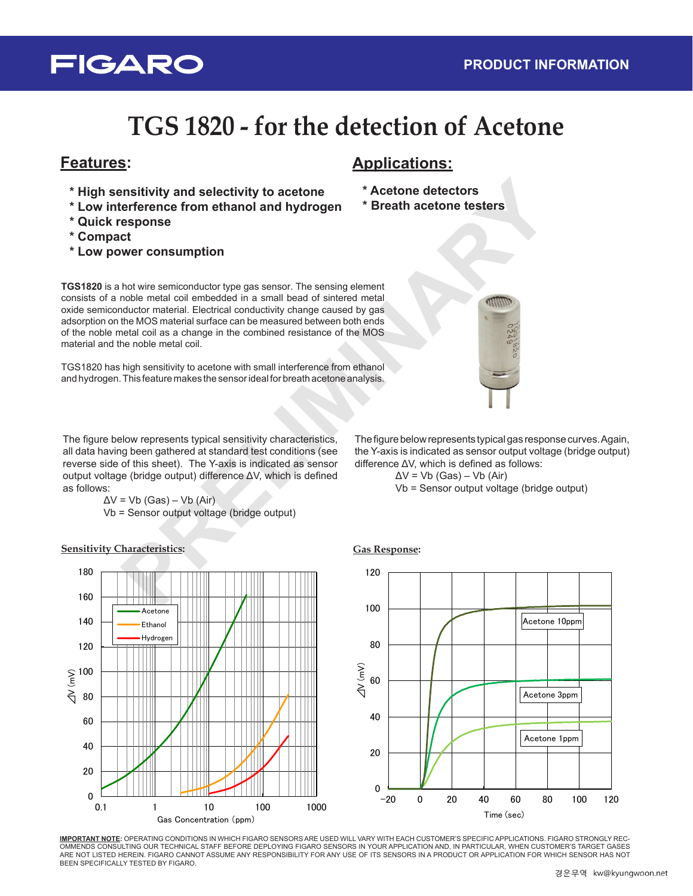# **FIGARO**

# **TGS 1820 - for the detection of Acetone**

- **\* High sensitivity and selectivity to acetone**
- **\* Low interference from ethanol and hydrogen**
- **\* Quick response**
- **\* Compact**
- **\* Low power consumption**

## **Features: Applications:**

- **\* Acetone detectors**
- **\* Breath acetone testers**

**PRESENT AND SECTION CONSULTERATIVE CONSULTERATIVE CONSULTERATIVE CONSULTERATIVE CONSULTERATIVE CONSULTERATIVE CONSULTERATIVE CONSULTERATIVE CONSULTERATIVE CONSULTERATIVE CONSULTERATIVE CONSULTERATIVE CONSULTERATIVE CONSUL TGS1820** is a hot wire semiconductor type gas sensor. The sensing element consists of a noble metal coil embedded in a small bead of sintered metal oxide semiconductor material. Electrical conductivity change caused by gas adsorption on the MOS material surface can be measured between both ends of the noble metal coil as a change in the combined resistance of the MOS material and the noble metal coil.

TGS1820 has high sensitivity to acetone with small interference from ethanol and hydrogen. This feature makes the sensor ideal for breath acetone analysis.

The figure below represents typical sensitivity characteristics, all data having been gathered at standard test conditions (see reverse side of this sheet). The Y-axis is indicated as sensor output voltage (bridge output) difference ΔV, which is defined as follows:

> $\Delta V$  = Vb (Gas) – Vb (Air). Vb = Sensor output voltage (bridge output)



**Sensitivity Characteristics: Gas Response:**

The figure below represents typical gas response curves. Again, the Y-axis is indicated as sensor output voltage (bridge output) difference ΔV, which is defined as follows:

$$
\Delta V = Vb (Gas) - Vb (Air)
$$

Vb = Sensor output voltage (bridge output)



**IMPORTANT NOTE:** OPERATING CONDITIONS IN WHICH FIGARO SENSORS ARE USED WILL VARY WITH EACH CUSTOMER'S SPECIFIC APPLICATIONS. FIGARO STRONGLY REC-OMMENDS CONSULTING OUR TECHNICAL STAFF BEFORE DEPLOYING FIGARO SENSORS IN YOUR APPLICATION AND, IN PARTICULAR, WHEN CUSTOMER'S TARGET GASES ARE NOT LISTED HEREIN. FIGARO CANNOT ASSUME ANY RESPONSIBILITY FOR ANY USE OF ITS SENSORS IN A PRODUCT OR APPLICATION FOR WHICH SENSOR HAS NOT BEEN SPECIFICALLY TESTED BY FIGARO.